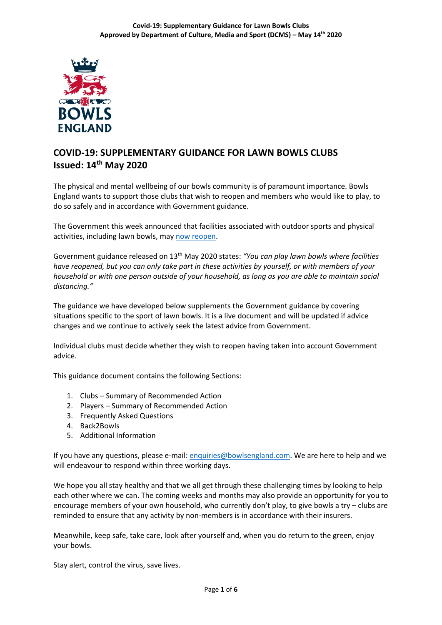

# **COVID-19: SUPPLEMENTARY GUIDANCE FOR LAWN BOWLS CLUBS Issued: 14th May 2020**

The physical and mental wellbeing of our bowls community is of paramount importance. Bowls England wants to support those clubs that wish to reopen and members who would like to play, to do so safely and in accordance with Government guidance.

The Government this week announced that facilities associated with outdoor sports and physical activities, including lawn bowls, may [now reopen.](https://www.gov.uk/government/publications/coronavirus-covid-19-guidance-on-phased-return-of-sport-and-recreation)

Government guidance released on 13th May 2020 states: *"You can play lawn bowls where facilities have reopened, but you can only take part in these activities by yourself, or with members of your household or with one person outside of your household, as long as you are able to maintain social distancing."*

The guidance we have developed below supplements the Government guidance by covering situations specific to the sport of lawn bowls. It is a live document and will be updated if advice changes and we continue to actively seek the latest advice from Government.

Individual clubs must decide whether they wish to reopen having taken into account Government advice.

This guidance document contains the following Sections:

- 1. Clubs Summary of Recommended Action
- 2. Players Summary of Recommended Action
- 3. Frequently Asked Questions
- 4. Back2Bowls
- 5. Additional Information

If you have any questions, please e-mail: [enquiries@bowlsengland.com.](mailto:enquiries@bowlsengland.com) We are here to help and we will endeavour to respond within three working days.

We hope you all stay healthy and that we all get through these challenging times by looking to help each other where we can. The coming weeks and months may also provide an opportunity for you to encourage members of your own household, who currently don't play, to give bowls a try – clubs are reminded to ensure that any activity by non-members is in accordance with their insurers.

Meanwhile, keep safe, take care, look after yourself and, when you do return to the green, enjoy your bowls.

Stay alert, control the virus, save lives.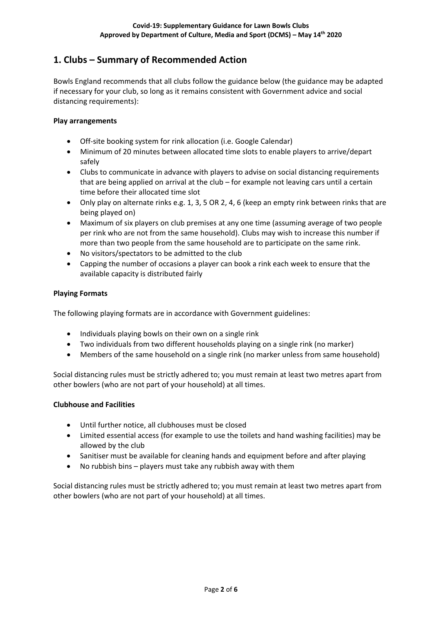# **1. Clubs – Summary of Recommended Action**

Bowls England recommends that all clubs follow the guidance below (the guidance may be adapted if necessary for your club, so long as it remains consistent with Government advice and social distancing requirements):

#### **Play arrangements**

- Off-site booking system for rink allocation (i.e. Google Calendar)
- Minimum of 20 minutes between allocated time slots to enable players to arrive/depart safely
- Clubs to communicate in advance with players to advise on social distancing requirements that are being applied on arrival at the club – for example not leaving cars until a certain time before their allocated time slot
- Only play on alternate rinks e.g. 1, 3, 5 OR 2, 4, 6 (keep an empty rink between rinks that are being played on)
- Maximum of six players on club premises at any one time (assuming average of two people per rink who are not from the same household). Clubs may wish to increase this number if more than two people from the same household are to participate on the same rink.
- No visitors/spectators to be admitted to the club
- Capping the number of occasions a player can book a rink each week to ensure that the available capacity is distributed fairly

### **Playing Formats**

The following playing formats are in accordance with Government guidelines:

- Individuals playing bowls on their own on a single rink
- Two individuals from two different households playing on a single rink (no marker)
- Members of the same household on a single rink (no marker unless from same household)

Social distancing rules must be strictly adhered to; you must remain at least two metres apart from other bowlers (who are not part of your household) at all times.

#### **Clubhouse and Facilities**

- Until further notice, all clubhouses must be closed
- Limited essential access (for example to use the toilets and hand washing facilities) may be allowed by the club
- Sanitiser must be available for cleaning hands and equipment before and after playing
- No rubbish bins players must take any rubbish away with them

Social distancing rules must be strictly adhered to; you must remain at least two metres apart from other bowlers (who are not part of your household) at all times.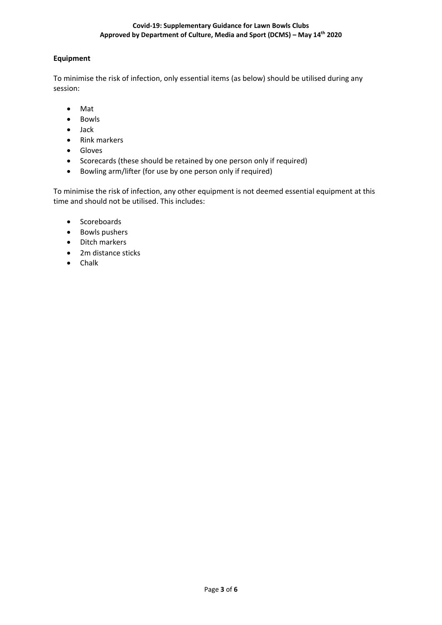## **Equipment**

To minimise the risk of infection, only essential items (as below) should be utilised during any session:

- Mat
- Bowls
- Jack
- Rink markers
- Gloves
- Scorecards (these should be retained by one person only if required)
- Bowling arm/lifter (for use by one person only if required)

To minimise the risk of infection, any other equipment is not deemed essential equipment at this time and should not be utilised. This includes:

- Scoreboards
- Bowls pushers
- Ditch markers
- 2m distance sticks
- Chalk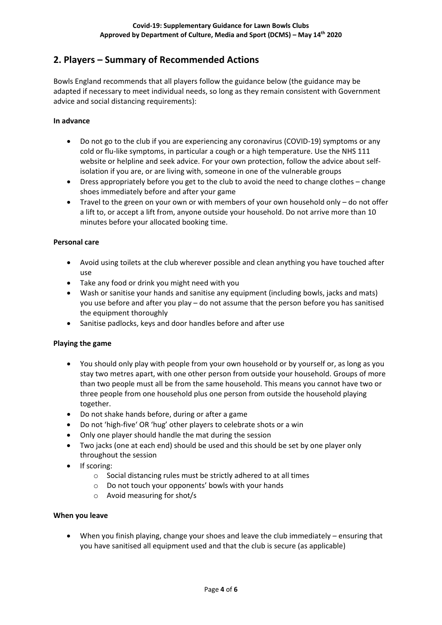# **2. Players – Summary of Recommended Actions**

Bowls England recommends that all players follow the guidance below (the guidance may be adapted if necessary to meet individual needs, so long as they remain consistent with Government advice and social distancing requirements):

#### **In advance**

- Do not go to the club if you are experiencing any coronavirus (COVID-19) symptoms or any cold or flu-like symptoms, in particular a cough or a high temperature. Use the NHS 111 website or helpline and seek advice. For your own protection, follow the advice about selfisolation if you are, or are living with, someone in one of the vulnerable groups
- Dress appropriately before you get to the club to avoid the need to change clothes change shoes immediately before and after your game
- Travel to the green on your own or with members of your own household only do not offer a lift to, or accept a lift from, anyone outside your household. Do not arrive more than 10 minutes before your allocated booking time.

#### **Personal care**

- Avoid using toilets at the club wherever possible and clean anything you have touched after use
- Take any food or drink you might need with you
- Wash or sanitise your hands and sanitise any equipment (including bowls, jacks and mats) you use before and after you play – do not assume that the person before you has sanitised the equipment thoroughly
- Sanitise padlocks, keys and door handles before and after use

#### **Playing the game**

- You should only play with people from your own household or by yourself or, as long as you stay two metres apart, with one other person from outside your household. Groups of more than two people must all be from the same household. This means you cannot have two or three people from one household plus one person from outside the household playing together.
- Do not shake hands before, during or after a game
- Do not 'high-five' OR 'hug' other players to celebrate shots or a win
- Only one player should handle the mat during the session
- Two jacks (one at each end) should be used and this should be set by one player only throughout the session
- If scoring:
	- o Social distancing rules must be strictly adhered to at all times
	- o Do not touch your opponents' bowls with your hands
	- o Avoid measuring for shot/s

#### **When you leave**

• When you finish playing, change your shoes and leave the club immediately – ensuring that you have sanitised all equipment used and that the club is secure (as applicable)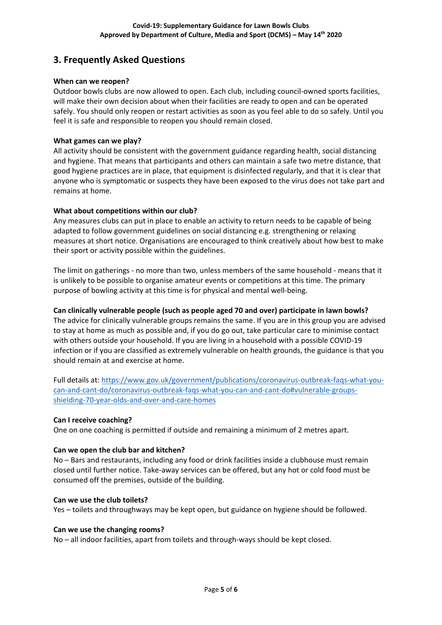# **3. Frequently Asked Questions**

#### **When can we reopen?**

Outdoor bowls clubs are now allowed to open. Each club, including council-owned sports facilities, will make their own decision about when their facilities are ready to open and can be operated safely. You should only reopen or restart activities as soon as you feel able to do so safely. Until you feel it is safe and responsible to reopen you should remain closed.

#### **What games can we play?**

All activity should be consistent with the government guidance regarding health, social distancing and hygiene. That means that participants and others can maintain a safe two metre distance, that good hygiene practices are in place, that equipment is disinfected regularly, and that it is clear that anyone who is symptomatic or suspects they have been exposed to the virus does not take part and remains at home.

#### **What about competitions within our club?**

Any measures clubs can put in place to enable an activity to return needs to be capable of being adapted to follow government guidelines on social distancing e.g. strengthening or relaxing measures at short notice. Organisations are encouraged to think creatively about how best to make their sport or activity possible within the guidelines.

The limit on gatherings - no more than two, unless members of the same household - means that it is unlikely to be possible to organise amateur events or competitions at this time. The primary purpose of bowling activity at this time is for physical and mental well-being.

#### **Can clinically vulnerable people (such as people aged 70 and over) participate in lawn bowls?**

The advice for clinically vulnerable groups remains the same. If you are in this group you are advised to stay at home as much as possible and, if you do go out, take particular care to minimise contact with others outside your household. If you are living in a household with a possible COVID-19 infection or if you are classified as extremely vulnerable on health grounds, the guidance is that you should remain at and exercise at home.

Full details at: [https://www.gov.uk/government/publications/coronavirus-outbreak-faqs-what-you](https://www.gov.uk/government/publications/coronavirus-outbreak-faqs-what-you-can-and-cant-do/coronavirus-outbreak-faqs-what-you-can-and-cant-do#vulnerable-groups-shielding-70-year-olds-and-over-and-care-homes)[can-and-cant-do/coronavirus-outbreak-faqs-what-you-can-and-cant-do#vulnerable-groups](https://www.gov.uk/government/publications/coronavirus-outbreak-faqs-what-you-can-and-cant-do/coronavirus-outbreak-faqs-what-you-can-and-cant-do#vulnerable-groups-shielding-70-year-olds-and-over-and-care-homes)[shielding-70-year-olds-and-over-and-care-homes](https://www.gov.uk/government/publications/coronavirus-outbreak-faqs-what-you-can-and-cant-do/coronavirus-outbreak-faqs-what-you-can-and-cant-do#vulnerable-groups-shielding-70-year-olds-and-over-and-care-homes)

#### **Can I receive coaching?**

One on one coaching is permitted if outside and remaining a minimum of 2 metres apart.

#### **Can we open the club bar and kitchen?**

No – Bars and restaurants, including any food or drink facilities inside a clubhouse must remain closed until further notice. Take-away services can be offered, but any hot or cold food must be consumed off the premises, outside of the building.

#### **Can we use the club toilets?**

Yes – toilets and throughways may be kept open, but guidance on hygiene should be followed.

#### **Can we use the changing rooms?**

No – all indoor facilities, apart from toilets and through-ways should be kept closed.